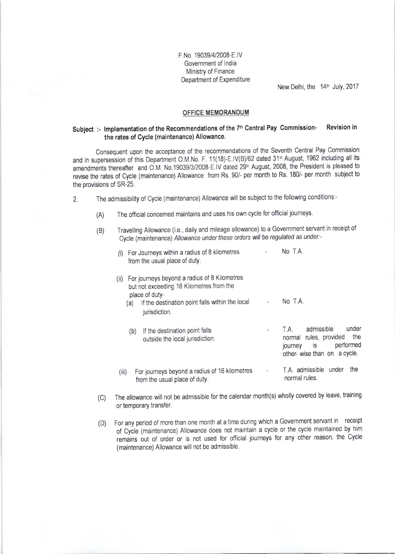F No 19039/4/2008-E lV Government of lndia Ministry of Finance Department of Expenditure

New Delhi, the 14<sup>th</sup> July, 2017

## OFFICE MEMORANDUM

## Subject :- Implementation of the Recommendations of the 7<sup>th</sup> Central Pay Commission-<br>Revision in the rates of Cycle (maintenance) Allowance.

Consequent upon the acceptance of the recommendations of the Seventh Central Pay Commission and in supersession of this Department O.M.No. F. 11(18)-E.IV(B)/62 dated 31<sup>st</sup> August, 1962 including all its amendments thereafter and O.M. No.19039/3/2008-E.IV dated 29<sup>th</sup> August, 2008, the President is pleased to revise the rates of Cycle (maintenance) Allowance from Rs. 90/- per month to Rs. 180/- per month subject to the provisions of SR-25.

- 2. The admissibility of Cycle (maintenance) Allowance will be subject to the following conditions:-
	- (A) The official concerned maintains and uses his own cycle for official journeys
	- (B) Travelling Allowance (i.e., daily and mileage allowance) to a Government servant in receipt of Cycle (maintenance) Allowance under these orders will be regulated as under:-

| For Journeys within a radius of 8 kilometres<br>(1)<br>from the usual place of duty.                               | No T.A.                                                                                                                   |
|--------------------------------------------------------------------------------------------------------------------|---------------------------------------------------------------------------------------------------------------------------|
| For journeys beyond a radius of 8 Kilometres<br>(11)<br>but not exceeding 16 Kilometres from the<br>place of duty- |                                                                                                                           |
| If the destination point falls within the local<br>(a)<br>jurisdiction.                                            | No T.A.                                                                                                                   |
| If the destination point falls<br>(b)<br>outside the local jurisdiction.                                           | admissible<br>under<br>T.A.<br>the<br>normal rules, provided<br>performed<br>is<br>journey<br>other-wise than on a cycle. |
| For journeys beyond a radius of 16 kilometres<br>(iii)<br>from the usual place of duty.                            | T.A. admissible under<br>the<br>normal rules.                                                                             |

- (c) The allowance will not be admissible for the calendar month(s) wholly covered by leave, training or temporary transfer.
- (D) For any period of more than one month at a time during which a Government servant in receipt of cycle (maintenance) Allowance does not maintain a cycle or the cycle maintained by him remains out of order or is not used for official journeys for any other reason, the Cycle (maintenance) Allowance will not be admissible